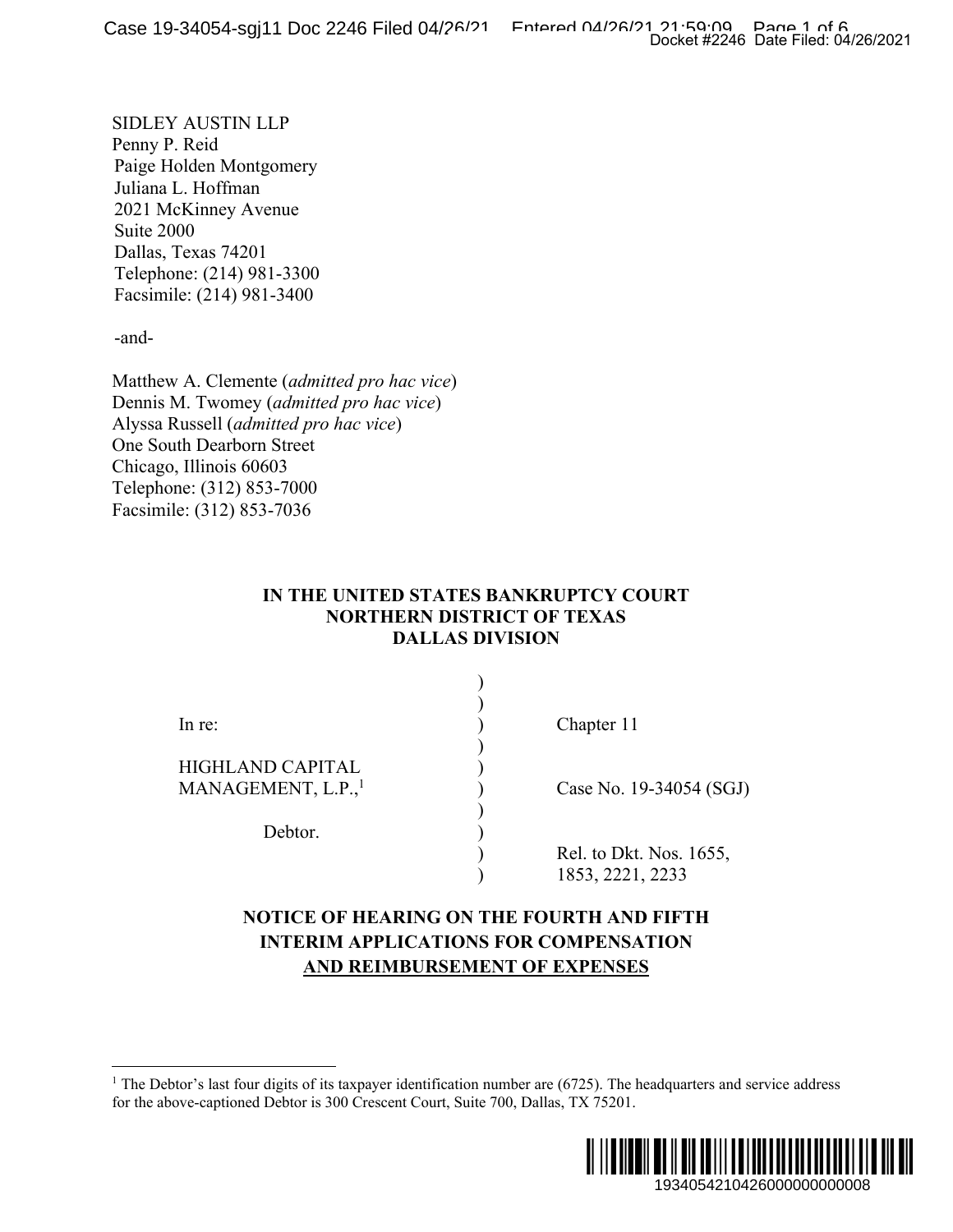SIDLEY AUSTIN LLP Penny P. Reid Paige Holden Montgomery Juliana L. Hoffman 2021 McKinney Avenue Suite 2000 Dallas, Texas 74201 Telephone: (214) 981-3300 Facsimile: (214) 981-3400

-and-

Matthew A. Clemente (*admitted pro hac vice*) Dennis M. Twomey (*admitted pro hac vice*) Alyssa Russell (*admitted pro hac vice*) One South Dearborn Street Chicago, Illinois 60603 Telephone: (312) 853-7000 Facsimile: (312) 853-7036

## **IN THE UNITED STATES BANKRUPTCY COURT NORTHERN DISTRICT OF TEXAS DALLAS DIVISION**

|                                                                                                                                                                                                      |                        |                                             | Docket #2246 Date Filed: 04/26/2021 |           |
|------------------------------------------------------------------------------------------------------------------------------------------------------------------------------------------------------|------------------------|---------------------------------------------|-------------------------------------|-----------|
| <b>ZAUSTIN LLP</b><br>. Reid<br>olden Montgomery<br>L. Hoffman<br>cKinney Avenue<br>000<br>Texas 74201<br>pne: (214) 981-3300<br>le: (214) 981-3400                                                  |                        |                                             |                                     |           |
| v A. Clemente (admitted pro hac vice)<br>M. Twomey (admitted pro hac vice)<br>Russell (admitted pro hac vice)<br>uth Dearborn Street<br>, Illinois 60603<br>ne: (312) 853-7000<br>le: (312) 853-7036 |                        |                                             |                                     |           |
| IN THE UNITED STATES BANKRUPTCY COURT                                                                                                                                                                | <b>DALLAS DIVISION</b> | <b>NORTHERN DISTRICT OF TEXAS</b>           |                                     |           |
| In re:                                                                                                                                                                                               |                        | Chapter 11                                  |                                     |           |
| HIGHLAND CAPITAL<br>MANAGEMENT, L.P.,                                                                                                                                                                |                        | Case No. 19-34054 (SGJ)                     |                                     |           |
| Debtor.                                                                                                                                                                                              |                        | Rel. to Dkt. Nos. 1655,<br>1853, 2221, 2233 |                                     |           |
| NOTICE OF HEARING ON THE FOURTH AND FIFTH<br><b>INTERIM APPLICATIONS FOR COMPENSATION</b>                                                                                                            |                        | <b>AND REIMBURSEMENT OF EXPENSES</b>        |                                     |           |
| otor's last four digits of its taxpayer identification number are (6725). The headquarters and service address<br>ove-captioned Debtor is 300 Crescent Court, Suite 700, Dallas, TX 75201.           |                        |                                             |                                     |           |
|                                                                                                                                                                                                      |                        |                                             | 1934054210426000000000008           | I III III |

## **NOTICE OF HEARING ON THE FOURTH AND FIFTH INTERIM APPLICATIONS FOR COMPENSATION AND REIMBURSEMENT OF EXPENSES**

<sup>&</sup>lt;sup>1</sup> The Debtor's last four digits of its taxpayer identification number are  $(6725)$ . The headquarters and service address for the above-captioned Debtor is 300 Crescent Court, Suite 700, Dallas, TX 75201.

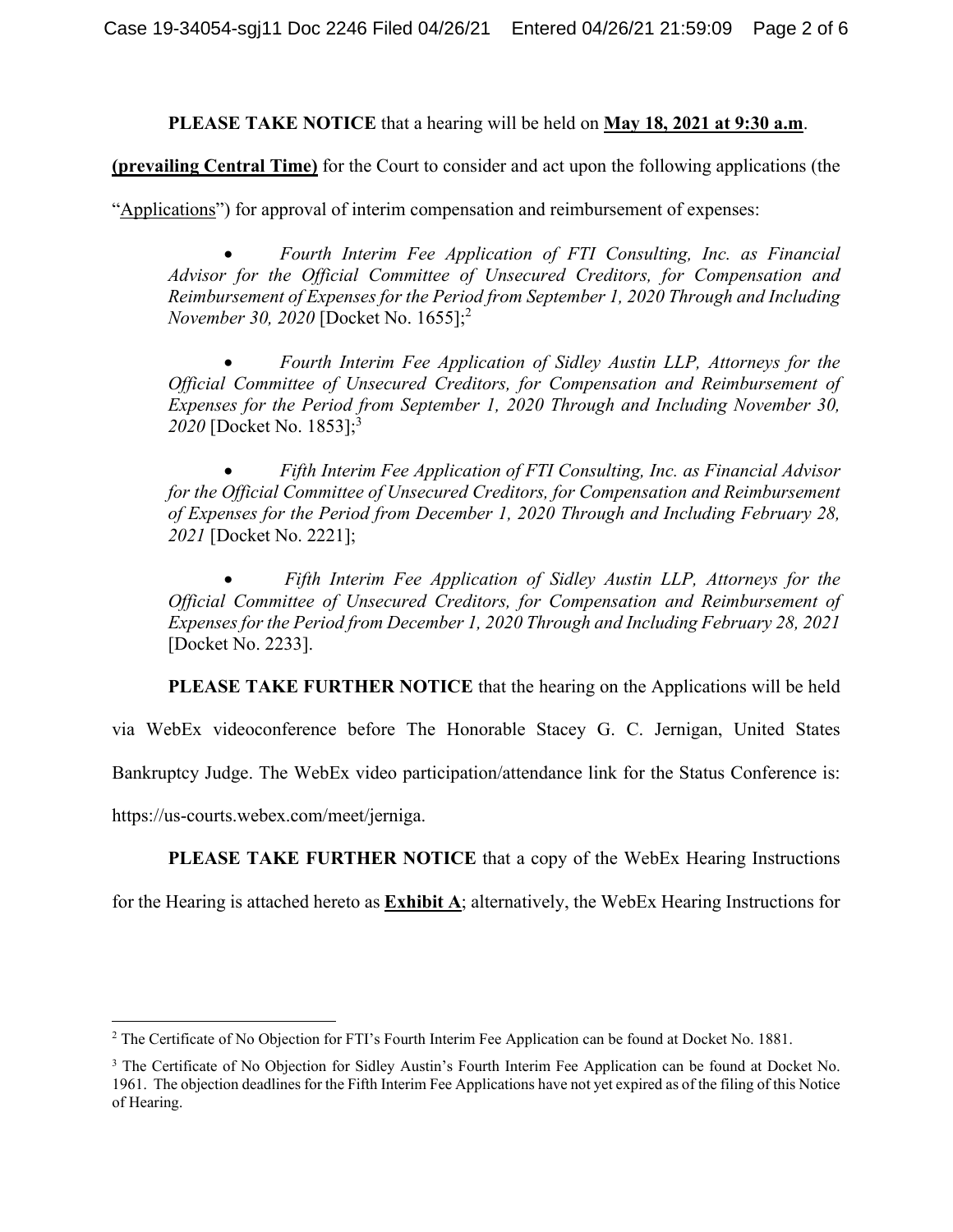### **PLEASE TAKE NOTICE** that a hearing will be held on **May 18, 2021 at 9:30 a.m**.

**(prevailing Central Time)** for the Court to consider and act upon the following applications (the

"Applications") for approval of interim compensation and reimbursement of expenses:

 *Fourth Interim Fee Application of FTI Consulting, Inc. as Financial Advisor for the Official Committee of Unsecured Creditors, for Compensation and Reimbursement of Expenses for the Period from September 1, 2020 Through and Including November 30, 2020* [Docket No. 1655];<sup>2</sup>

 *Fourth Interim Fee Application of Sidley Austin LLP, Attorneys for the Official Committee of Unsecured Creditors, for Compensation and Reimbursement of Expenses for the Period from September 1, 2020 Through and Including November 30,*  2020 [Docket No. 1853];<sup>3</sup>

 *Fifth Interim Fee Application of FTI Consulting, Inc. as Financial Advisor for the Official Committee of Unsecured Creditors, for Compensation and Reimbursement of Expenses for the Period from December 1, 2020 Through and Including February 28, 2021* [Docket No. 2221];

 *Fifth Interim Fee Application of Sidley Austin LLP, Attorneys for the Official Committee of Unsecured Creditors, for Compensation and Reimbursement of Expenses for the Period from December 1, 2020 Through and Including February 28, 2021* [Docket No. 2233].

**PLEASE TAKE FURTHER NOTICE** that the hearing on the Applications will be held

via WebEx videoconference before The Honorable Stacey G. C. Jernigan, United States

Bankruptcy Judge. The WebEx video participation/attendance link for the Status Conference is:

https://us-courts.webex.com/meet/jerniga.

**PLEASE TAKE FURTHER NOTICE** that a copy of the WebEx Hearing Instructions

for the Hearing is attached hereto as **Exhibit A**; alternatively, the WebEx Hearing Instructions for

<sup>&</sup>lt;sup>2</sup> The Certificate of No Objection for FTI's Fourth Interim Fee Application can be found at Docket No. 1881.

<sup>&</sup>lt;sup>3</sup> The Certificate of No Objection for Sidley Austin's Fourth Interim Fee Application can be found at Docket No. 1961. The objection deadlines for the Fifth Interim Fee Applications have not yet expired as of the filing of this Notice of Hearing.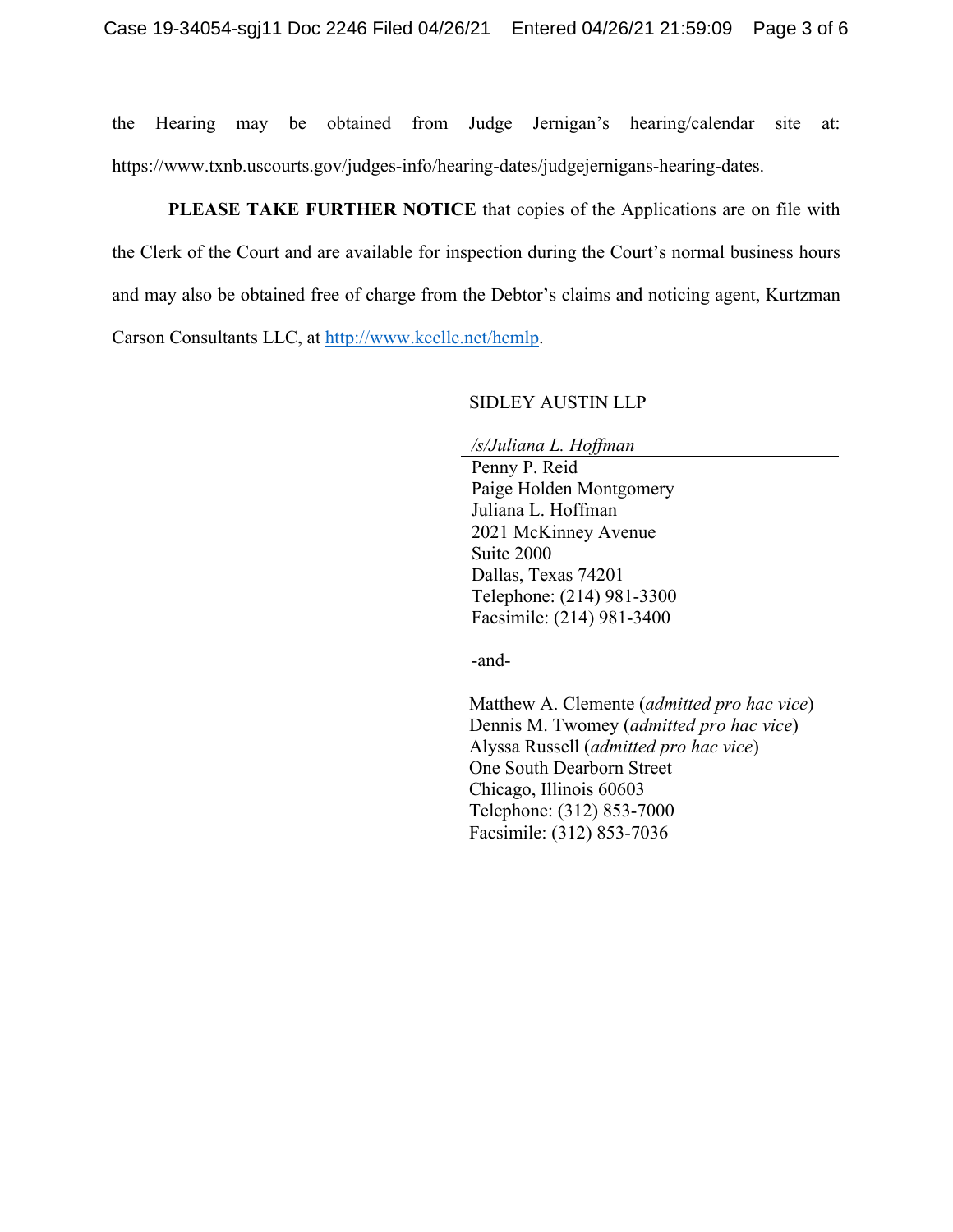the Hearing may be obtained from Judge Jernigan's hearing/calendar site at: https://www.txnb.uscourts.gov/judges-info/hearing-dates/judgejernigans-hearing-dates.

**PLEASE TAKE FURTHER NOTICE** that copies of the Applications are on file with the Clerk of the Court and are available for inspection during the Court's normal business hours and may also be obtained free of charge from the Debtor's claims and noticing agent, Kurtzman Carson Consultants LLC, at http://www.kccllc.net/hcmlp.

#### SIDLEY AUSTIN LLP

*/s/Juliana L. Hoffman* 

 Penny P. Reid Paige Holden Montgomery Juliana L. Hoffman 2021 McKinney Avenue Suite 2000 Dallas, Texas 74201 Telephone: (214) 981-3300 Facsimile: (214) 981-3400

-and-

Matthew A. Clemente (*admitted pro hac vice*) Dennis M. Twomey (*admitted pro hac vice*) Alyssa Russell (*admitted pro hac vice*) One South Dearborn Street Chicago, Illinois 60603 Telephone: (312) 853-7000 Facsimile: (312) 853-7036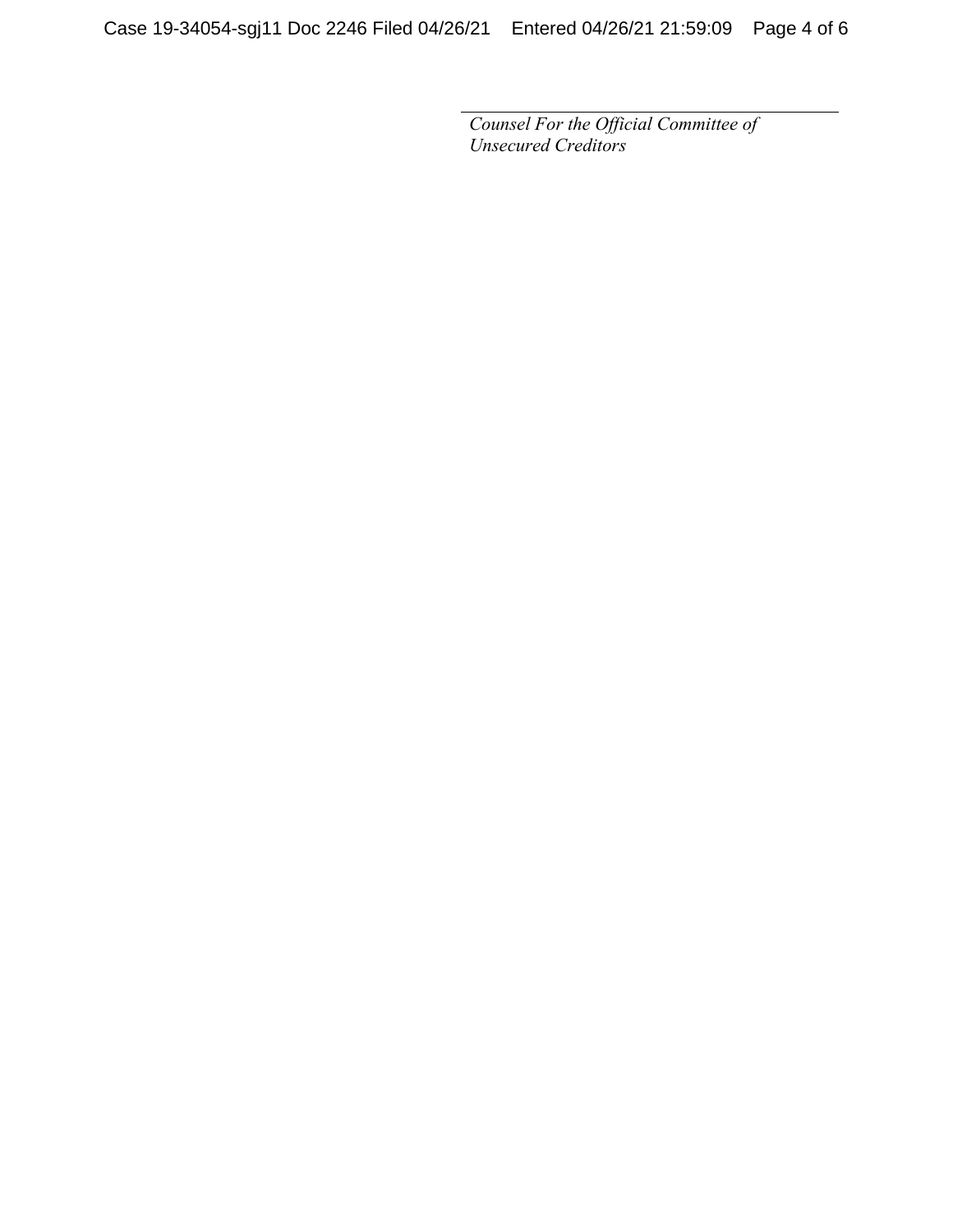*Counsel For the Official Committee of Unsecured Creditors*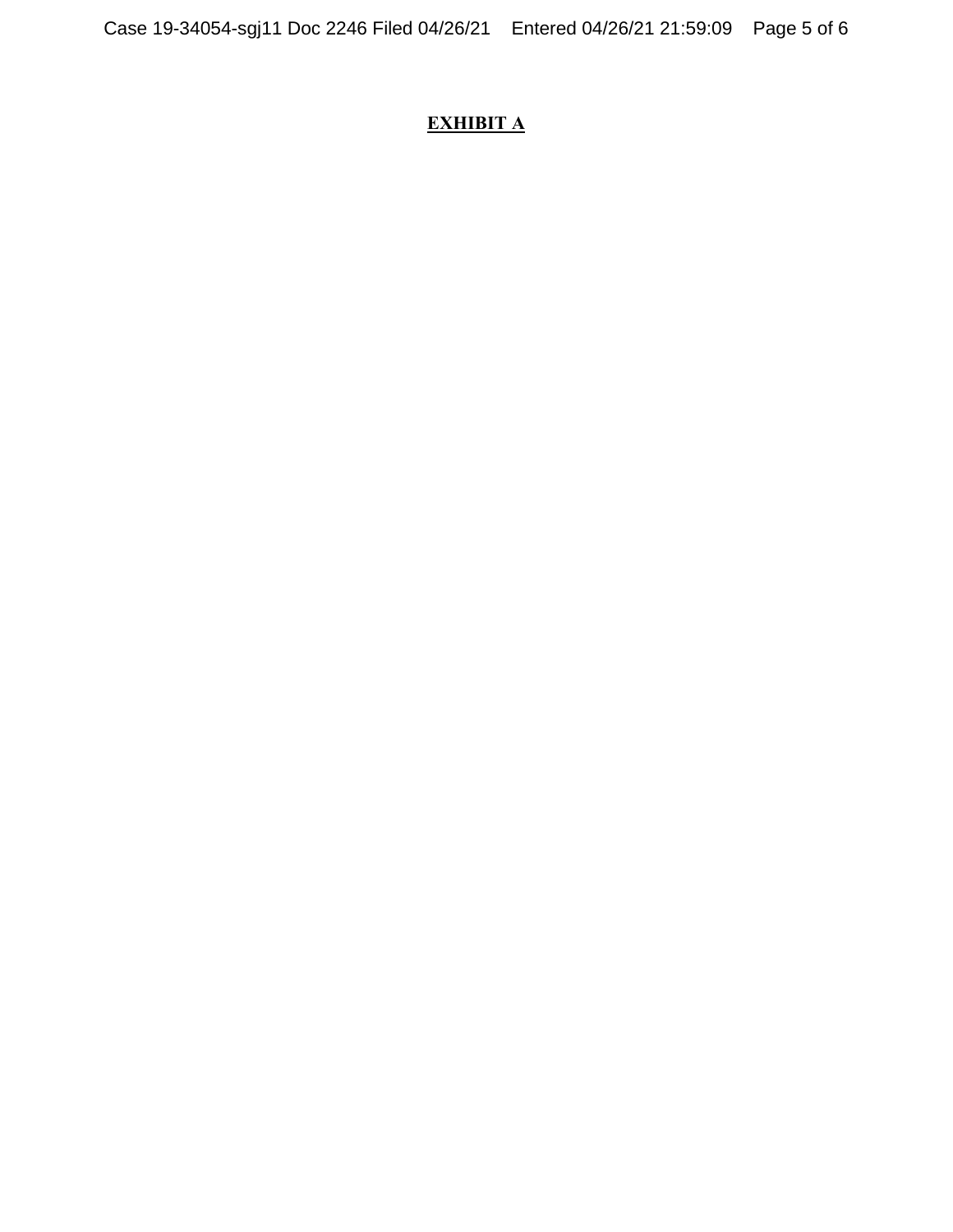# **EXHIBIT A**